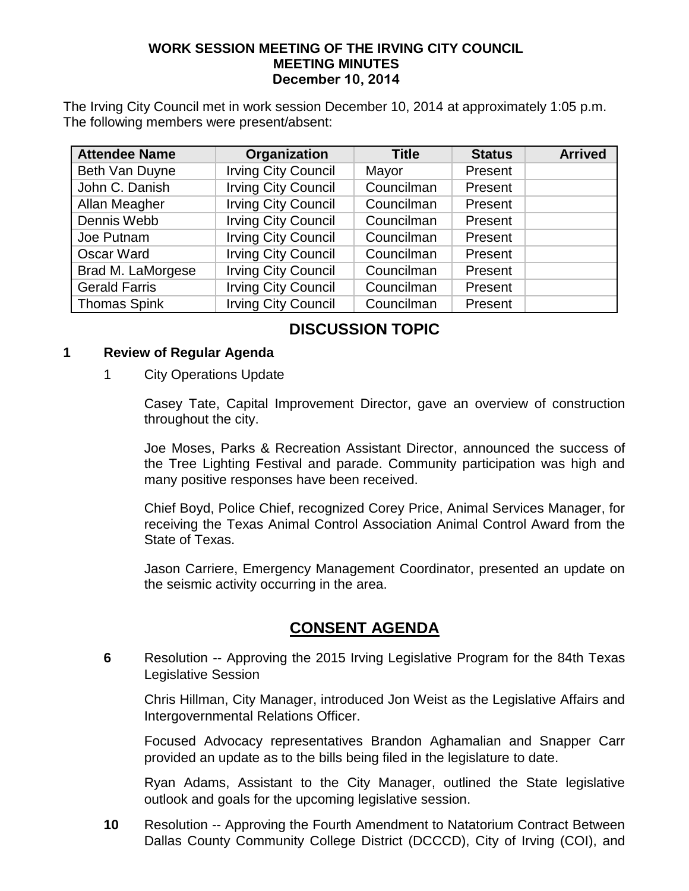#### **WORK SESSION MEETING OF THE IRVING CITY COUNCIL MEETING MINUTES December 10, 2014**

The Irving City Council met in work session December 10, 2014 at approximately 1:05 p.m. The following members were present/absent:

| <b>Attendee Name</b> | Organization               | <b>Title</b> | <b>Status</b> | <b>Arrived</b> |
|----------------------|----------------------------|--------------|---------------|----------------|
| Beth Van Duyne       | <b>Irving City Council</b> | Mayor        | Present       |                |
| John C. Danish       | <b>Irving City Council</b> | Councilman   | Present       |                |
| Allan Meagher        | <b>Irving City Council</b> | Councilman   | Present       |                |
| Dennis Webb          | <b>Irving City Council</b> | Councilman   | Present       |                |
| Joe Putnam           | <b>Irving City Council</b> | Councilman   | Present       |                |
| <b>Oscar Ward</b>    | <b>Irving City Council</b> | Councilman   | Present       |                |
| Brad M. LaMorgese    | <b>Irving City Council</b> | Councilman   | Present       |                |
| <b>Gerald Farris</b> | <b>Irving City Council</b> | Councilman   | Present       |                |
| <b>Thomas Spink</b>  | <b>Irving City Council</b> | Councilman   | Present       |                |

## **DISCUSSION TOPIC**

#### **1 Review of Regular Agenda**

1 City Operations Update

Casey Tate, Capital Improvement Director, gave an overview of construction throughout the city.

Joe Moses, Parks & Recreation Assistant Director, announced the success of the Tree Lighting Festival and parade. Community participation was high and many positive responses have been received.

Chief Boyd, Police Chief, recognized Corey Price, Animal Services Manager, for receiving the Texas Animal Control Association Animal Control Award from the State of Texas.

Jason Carriere, Emergency Management Coordinator, presented an update on the seismic activity occurring in the area.

### **CONSENT AGENDA**

**6** Resolution -- Approving the 2015 Irving Legislative Program for the 84th Texas Legislative Session

Chris Hillman, City Manager, introduced Jon Weist as the Legislative Affairs and Intergovernmental Relations Officer.

Focused Advocacy representatives Brandon Aghamalian and Snapper Carr provided an update as to the bills being filed in the legislature to date.

Ryan Adams, Assistant to the City Manager, outlined the State legislative outlook and goals for the upcoming legislative session.

**10** Resolution -- Approving the Fourth Amendment to Natatorium Contract Between Dallas County Community College District (DCCCD), City of Irving (COI), and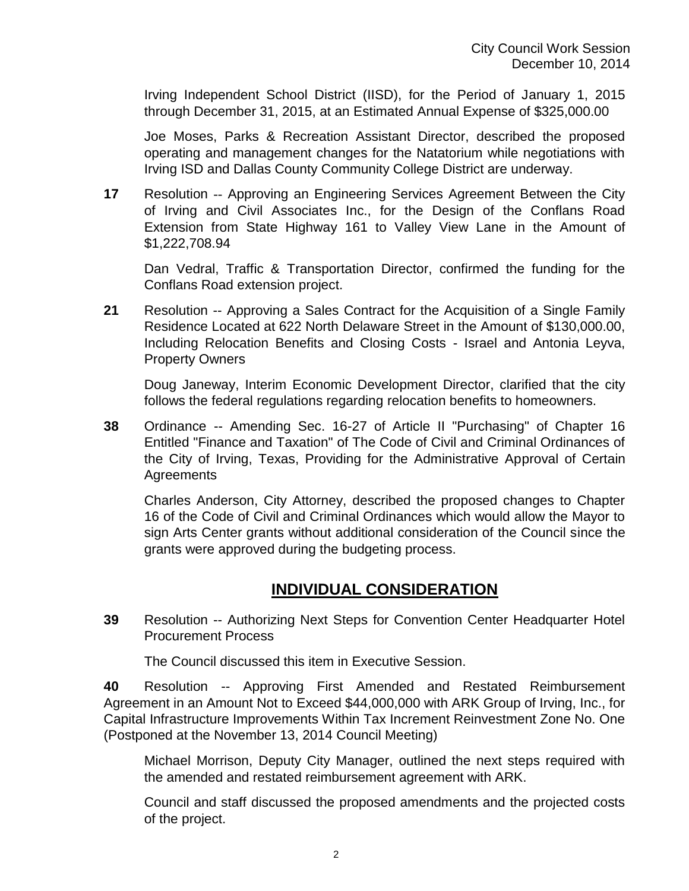Irving Independent School District (IISD), for the Period of January 1, 2015 through December 31, 2015, at an Estimated Annual Expense of \$325,000.00

Joe Moses, Parks & Recreation Assistant Director, described the proposed operating and management changes for the Natatorium while negotiations with Irving ISD and Dallas County Community College District are underway.

**17** Resolution -- Approving an Engineering Services Agreement Between the City of Irving and Civil Associates Inc., for the Design of the Conflans Road Extension from State Highway 161 to Valley View Lane in the Amount of \$1,222,708.94

Dan Vedral, Traffic & Transportation Director, confirmed the funding for the Conflans Road extension project.

**21** Resolution -- Approving a Sales Contract for the Acquisition of a Single Family Residence Located at 622 North Delaware Street in the Amount of \$130,000.00, Including Relocation Benefits and Closing Costs - Israel and Antonia Leyva, Property Owners

Doug Janeway, Interim Economic Development Director, clarified that the city follows the federal regulations regarding relocation benefits to homeowners.

**38** Ordinance -- Amending Sec. 16-27 of Article II "Purchasing" of Chapter 16 Entitled "Finance and Taxation" of The Code of Civil and Criminal Ordinances of the City of Irving, Texas, Providing for the Administrative Approval of Certain **Agreements** 

Charles Anderson, City Attorney, described the proposed changes to Chapter 16 of the Code of Civil and Criminal Ordinances which would allow the Mayor to sign Arts Center grants without additional consideration of the Council since the grants were approved during the budgeting process.

### **INDIVIDUAL CONSIDERATION**

**39** Resolution -- Authorizing Next Steps for Convention Center Headquarter Hotel Procurement Process

The Council discussed this item in Executive Session.

**40** Resolution -- Approving First Amended and Restated Reimbursement Agreement in an Amount Not to Exceed \$44,000,000 with ARK Group of Irving, Inc., for Capital Infrastructure Improvements Within Tax Increment Reinvestment Zone No. One (Postponed at the November 13, 2014 Council Meeting)

Michael Morrison, Deputy City Manager, outlined the next steps required with the amended and restated reimbursement agreement with ARK.

Council and staff discussed the proposed amendments and the projected costs of the project.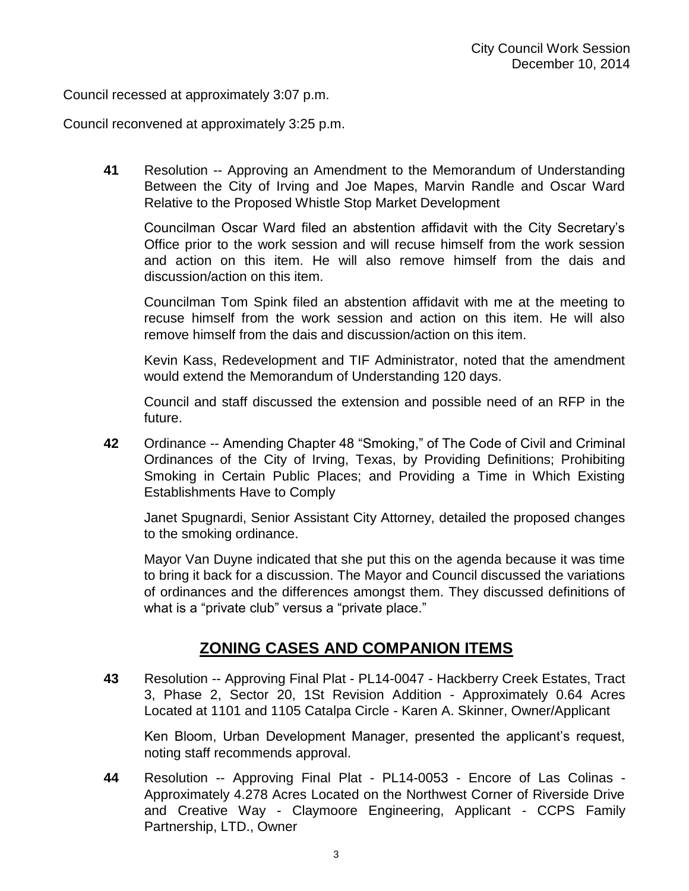Council recessed at approximately 3:07 p.m.

Council reconvened at approximately 3:25 p.m.

**41** Resolution -- Approving an Amendment to the Memorandum of Understanding Between the City of Irving and Joe Mapes, Marvin Randle and Oscar Ward Relative to the Proposed Whistle Stop Market Development

Councilman Oscar Ward filed an abstention affidavit with the City Secretary's Office prior to the work session and will recuse himself from the work session and action on this item. He will also remove himself from the dais and discussion/action on this item.

Councilman Tom Spink filed an abstention affidavit with me at the meeting to recuse himself from the work session and action on this item. He will also remove himself from the dais and discussion/action on this item.

Kevin Kass, Redevelopment and TIF Administrator, noted that the amendment would extend the Memorandum of Understanding 120 days.

Council and staff discussed the extension and possible need of an RFP in the future.

**42** Ordinance -- Amending Chapter 48 "Smoking," of The Code of Civil and Criminal Ordinances of the City of Irving, Texas, by Providing Definitions; Prohibiting Smoking in Certain Public Places; and Providing a Time in Which Existing Establishments Have to Comply

Janet Spugnardi, Senior Assistant City Attorney, detailed the proposed changes to the smoking ordinance.

Mayor Van Duyne indicated that she put this on the agenda because it was time to bring it back for a discussion. The Mayor and Council discussed the variations of ordinances and the differences amongst them. They discussed definitions of what is a "private club" versus a "private place."

### **ZONING CASES AND COMPANION ITEMS**

**43** Resolution -- Approving Final Plat - PL14-0047 - Hackberry Creek Estates, Tract 3, Phase 2, Sector 20, 1St Revision Addition - Approximately 0.64 Acres Located at 1101 and 1105 Catalpa Circle - Karen A. Skinner, Owner/Applicant

Ken Bloom, Urban Development Manager, presented the applicant's request, noting staff recommends approval.

**44** Resolution -- Approving Final Plat - PL14-0053 - Encore of Las Colinas - Approximately 4.278 Acres Located on the Northwest Corner of Riverside Drive and Creative Way - Claymoore Engineering, Applicant - CCPS Family Partnership, LTD., Owner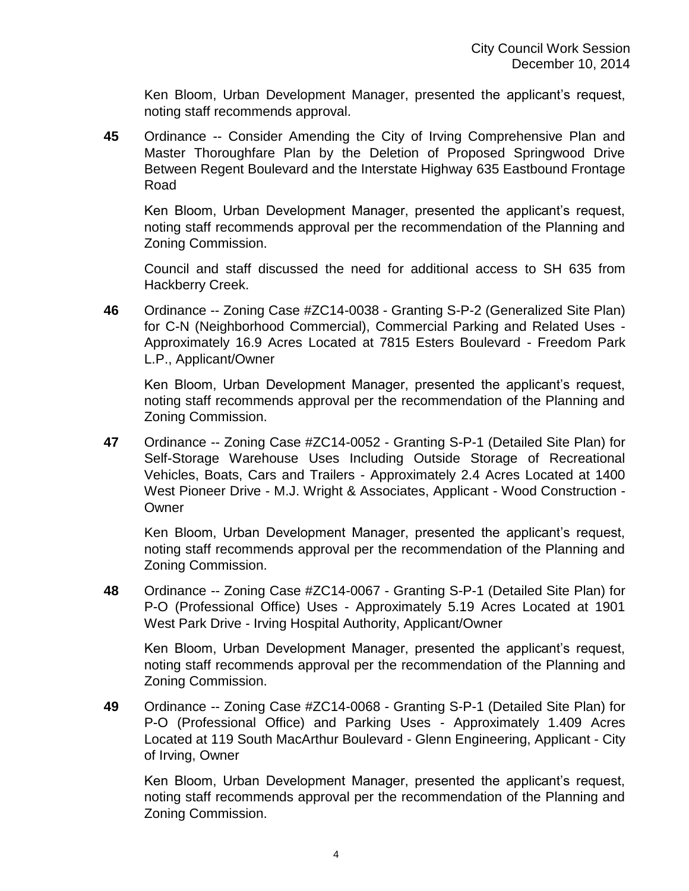Ken Bloom, Urban Development Manager, presented the applicant's request, noting staff recommends approval.

**45** Ordinance -- Consider Amending the City of Irving Comprehensive Plan and Master Thoroughfare Plan by the Deletion of Proposed Springwood Drive Between Regent Boulevard and the Interstate Highway 635 Eastbound Frontage Road

Ken Bloom, Urban Development Manager, presented the applicant's request, noting staff recommends approval per the recommendation of the Planning and Zoning Commission.

Council and staff discussed the need for additional access to SH 635 from Hackberry Creek.

**46** Ordinance -- Zoning Case #ZC14-0038 - Granting S-P-2 (Generalized Site Plan) for C-N (Neighborhood Commercial), Commercial Parking and Related Uses - Approximately 16.9 Acres Located at 7815 Esters Boulevard - Freedom Park L.P., Applicant/Owner

Ken Bloom, Urban Development Manager, presented the applicant's request, noting staff recommends approval per the recommendation of the Planning and Zoning Commission.

**47** Ordinance -- Zoning Case #ZC14-0052 - Granting S-P-1 (Detailed Site Plan) for Self-Storage Warehouse Uses Including Outside Storage of Recreational Vehicles, Boats, Cars and Trailers - Approximately 2.4 Acres Located at 1400 West Pioneer Drive - M.J. Wright & Associates, Applicant - Wood Construction - **Owner** 

Ken Bloom, Urban Development Manager, presented the applicant's request, noting staff recommends approval per the recommendation of the Planning and Zoning Commission.

**48** Ordinance -- Zoning Case #ZC14-0067 - Granting S-P-1 (Detailed Site Plan) for P-O (Professional Office) Uses - Approximately 5.19 Acres Located at 1901 West Park Drive - Irving Hospital Authority, Applicant/Owner

Ken Bloom, Urban Development Manager, presented the applicant's request, noting staff recommends approval per the recommendation of the Planning and Zoning Commission.

**49** Ordinance -- Zoning Case #ZC14-0068 - Granting S-P-1 (Detailed Site Plan) for P-O (Professional Office) and Parking Uses - Approximately 1.409 Acres Located at 119 South MacArthur Boulevard - Glenn Engineering, Applicant - City of Irving, Owner

Ken Bloom, Urban Development Manager, presented the applicant's request, noting staff recommends approval per the recommendation of the Planning and Zoning Commission.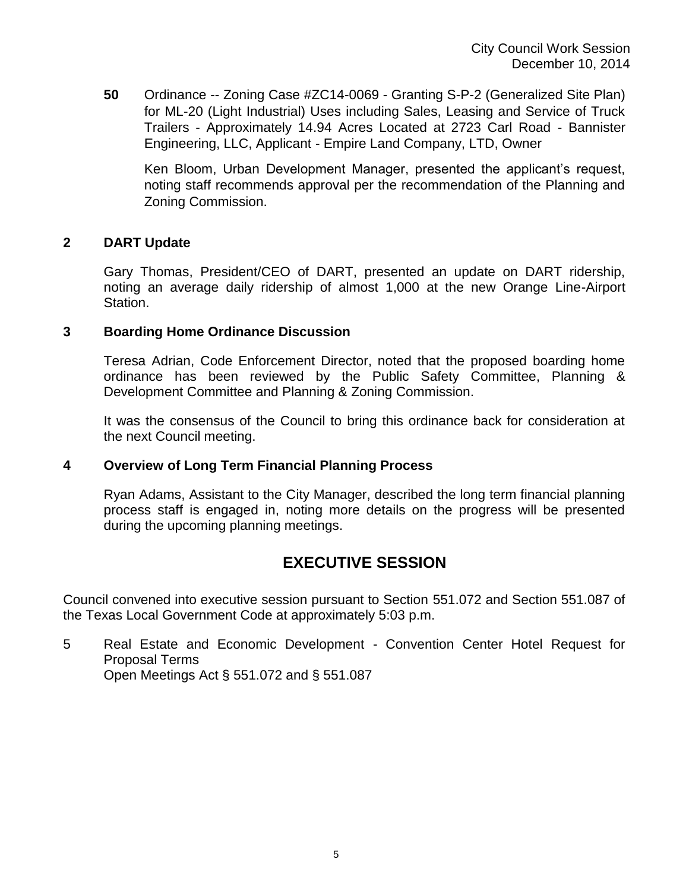**50** Ordinance -- Zoning Case #ZC14-0069 - Granting S-P-2 (Generalized Site Plan) for ML-20 (Light Industrial) Uses including Sales, Leasing and Service of Truck Trailers - Approximately 14.94 Acres Located at 2723 Carl Road - Bannister Engineering, LLC, Applicant - Empire Land Company, LTD, Owner

Ken Bloom, Urban Development Manager, presented the applicant's request, noting staff recommends approval per the recommendation of the Planning and Zoning Commission.

### **2 DART Update**

Gary Thomas, President/CEO of DART, presented an update on DART ridership, noting an average daily ridership of almost 1,000 at the new Orange Line-Airport Station.

#### **3 Boarding Home Ordinance Discussion**

Teresa Adrian, Code Enforcement Director, noted that the proposed boarding home ordinance has been reviewed by the Public Safety Committee, Planning & Development Committee and Planning & Zoning Commission.

It was the consensus of the Council to bring this ordinance back for consideration at the next Council meeting.

#### **4 Overview of Long Term Financial Planning Process**

Ryan Adams, Assistant to the City Manager, described the long term financial planning process staff is engaged in, noting more details on the progress will be presented during the upcoming planning meetings.

# **EXECUTIVE SESSION**

Council convened into executive session pursuant to Section 551.072 and Section 551.087 of the Texas Local Government Code at approximately 5:03 p.m.

5 Real Estate and Economic Development - Convention Center Hotel Request for Proposal Terms Open Meetings Act § 551.072 and § 551.087